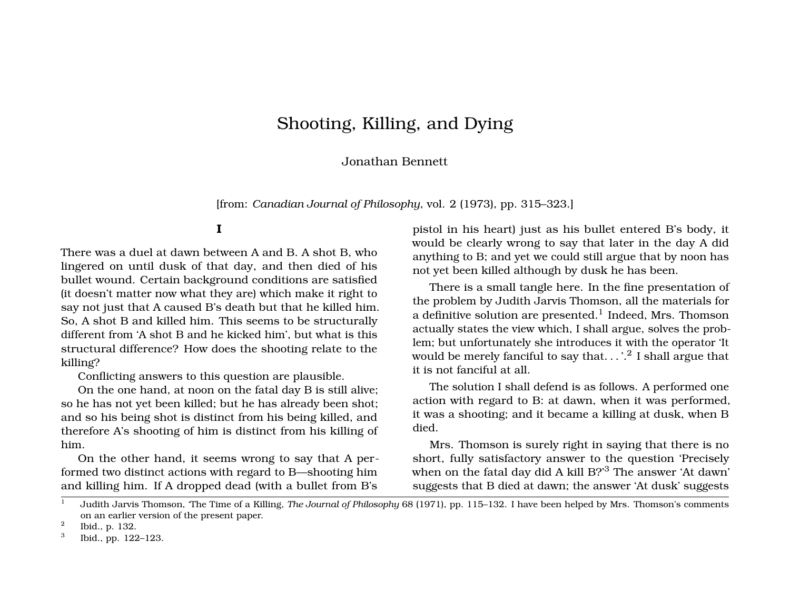# Shooting, Killing, and Dying

Jonathan Bennett

[from: *Canadian Journal of Philosophy*, vol. 2 (1973), pp. 315–323.]

# **I**

There was a duel at dawn between A and B. A shot B, who lingered on until dusk of that day, and then died of his bullet wound. Certain background conditions are satisfied (it doesn't matter now what they are) which make it right to say not just that A caused B's death but that he killed him. So, A shot B and killed him. This seems to be structurally different from 'A shot B and he kicked him', but what is this structural difference? How does the shooting relate to the killing?

Conflicting answers to this question are plausible.

On the one hand, at noon on the fatal day B is still alive; so he has not yet been killed; but he has already been shot; and so his being shot is distinct from his being killed, and therefore A's shooting of him is distinct from his killing of him.

On the other hand, it seems wrong to say that A performed two distinct actions with regard to B—shooting him and killing him. If A dropped dead (with a bullet from B's

pistol in his heart) just as his bullet entered B's body, it would be clearly wrong to say that later in the day A did anything to B; and yet we could still argue that by noon has not yet been killed although by dusk he has been.

There is a small tangle here. In the fine presentation of the problem by Judith Jarvis Thomson, all the materials for a definitive solution are presented. $^{\rm 1}$  Indeed, Mrs. Thomson actually states the view which, I shall argue, solves the problem; but unfortunately she introduces it with the operator 'It would be merely fanciful to say that. . . '. $^2$  I shall argue that it is not fanciful at all.

The solution I shall defend is as follows. A performed one action with regard to B: at dawn, when it was performed, it was a shooting; and it became a killing at dusk, when B died.

Mrs. Thomson is surely right in saying that there is no short, fully satisfactory answer to the question 'Precisely when on the fatal day did A kill B?<sup>3</sup> The answer 'At dawn' suggests that B died at dawn; the answer 'At dusk' suggests

<sup>1</sup> Judith Jarvis Thomson, 'The Time of a Killing, *The Journal of Philosophy* 68 (1971), pp. 115–132. I have been helped by Mrs. Thomson's comments on an earlier version of the present paper.

<sup>2</sup> Ibid., p. 132.

<sup>3</sup> Ibid., pp. 122–123.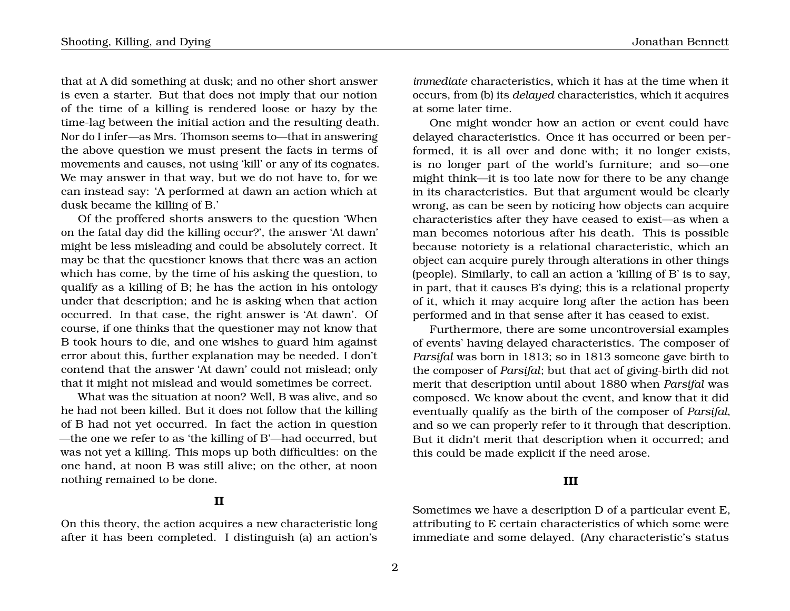that at A did something at dusk; and no other short answer is even a starter. But that does not imply that our notion of the time of a killing is rendered loose or hazy by the time-lag between the initial action and the resulting death. Nor do I infer—as Mrs. Thomson seems to—that in answering the above question we must present the facts in terms of movements and causes, not using 'kill' or any of its cognates. We may answer in that way, but we do not have to, for we can instead say: 'A performed at dawn an action which at dusk became the killing of B.'

Of the proffered shorts answers to the question 'When on the fatal day did the killing occur?', the answer 'At dawn' might be less misleading and could be absolutely correct. It may be that the questioner knows that there was an action which has come, by the time of his asking the question, to qualify as a killing of B; he has the action in his ontology under that description; and he is asking when that action occurred. In that case, the right answer is 'At dawn'. Of course, if one thinks that the questioner may not know that B took hours to die, and one wishes to guard him against error about this, further explanation may be needed. I don't contend that the answer 'At dawn' could not mislead; only that it might not mislead and would sometimes be correct.

What was the situation at noon? Well, B was alive, and so he had not been killed. But it does not follow that the killing of B had not yet occurred. In fact the action in question —the one we refer to as 'the killing of B'—had occurred, but was not yet a killing. This mops up both difficulties: on the one hand, at noon B was still alive; on the other, at noon nothing remained to be done.

# **II**

On this theory, the action acquires a new characteristic long after it has been completed. I distinguish (a) an action's

*immediate* characteristics, which it has at the time when it occurs, from (b) its *delayed* characteristics, which it acquires at some later time.

One might wonder how an action or event could have delayed characteristics. Once it has occurred or been performed, it is all over and done with; it no longer exists, is no longer part of the world's furniture; and so—one might think—it is too late now for there to be any change in its characteristics. But that argument would be clearly wrong, as can be seen by noticing how objects can acquire characteristics after they have ceased to exist—as when a man becomes notorious after his death. This is possible because notoriety is a relational characteristic, which an object can acquire purely through alterations in other things (people). Similarly, to call an action a 'killing of B' is to say, in part, that it causes B's dying; this is a relational property of it, which it may acquire long after the action has been performed and in that sense after it has ceased to exist.

Furthermore, there are some uncontroversial examples of events' having delayed characteristics. The composer of *Parsifal* was born in 1813; so in 1813 someone gave birth to the composer of *Parsifal*; but that act of giving-birth did not merit that description until about 1880 when *Parsifal* was composed. We know about the event, and know that it did eventually qualify as the birth of the composer of *Parsifal*, and so we can properly refer to it through that description. But it didn't merit that description when it occurred; and this could be made explicit if the need arose.

## **III**

Sometimes we have a description D of a particular event E, attributing to E certain characteristics of which some were immediate and some delayed. (Any characteristic's status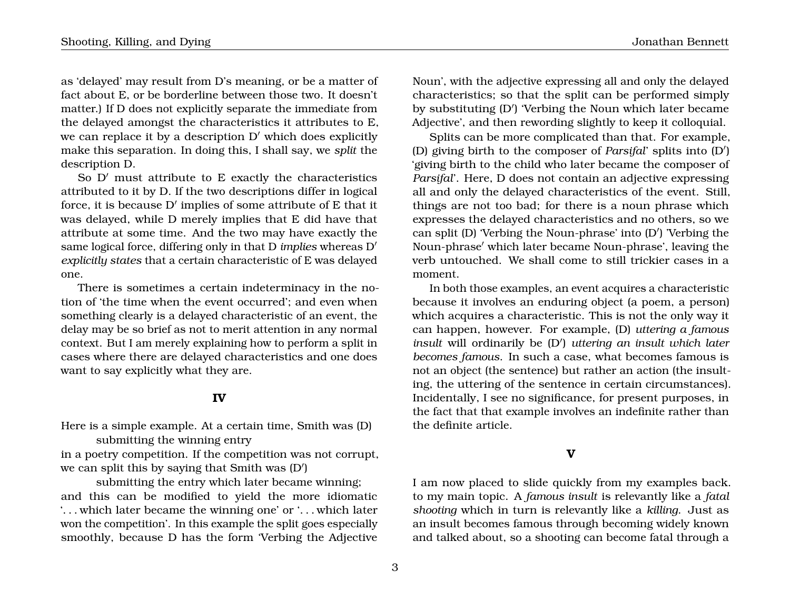as 'delayed' may result from D's meaning, or be a matter of fact about E, or be borderline between those two. It doesn't matter.) If D does not explicitly separate the immediate from the delayed amongst the characteristics it attributes to E, we can replace it by a description  $D'$  which does explicitly make this separation. In doing this, I shall say, we *split* the description D.

So  $D'$  must attribute to E exactly the characteristics attributed to it by D. If the two descriptions differ in logical force, it is because  $D'$  implies of some attribute of  $E$  that it was delayed, while D merely implies that E did have that attribute at some time. And the two may have exactly the same logical force, differing only in that D *implies* whereas D' *explicitly states* that a certain characteristic of E was delayed one.

There is sometimes a certain indeterminacy in the notion of 'the time when the event occurred'; and even when something clearly is a delayed characteristic of an event, the delay may be so brief as not to merit attention in any normal context. But I am merely explaining how to perform a split in cases where there are delayed characteristics and one does want to say explicitly what they are.

# **IV**

Here is a simple example. At a certain time, Smith was (D) submitting the winning entry

in a poetry competition. If the competition was not corrupt, we can split this by saying that Smith was  $(D')$ 

submitting the entry which later became winning; and this can be modified to yield the more idiomatic '. . . which later became the winning one' or '. . . which later won the competition'. In this example the split goes especially smoothly, because D has the form 'Verbing the Adjective

Noun', with the adjective expressing all and only the delayed characteristics; so that the split can be performed simply by substituting (D') 'Verbing the Noun which later became Adjective', and then rewording slightly to keep it colloquial.

Splits can be more complicated than that. For example, (D) giving birth to the composer of *Parsifal*' splits into (D') 'giving birth to the child who later became the composer of *Parsifal*'. Here, D does not contain an adjective expressing all and only the delayed characteristics of the event. Still, things are not too bad; for there is a noun phrase which expresses the delayed characteristics and no others, so we can split (D) 'Verbing the Noun-phrase' into (D') 'Verbing the Noun-phrase' which later became Noun-phrase', leaving the verb untouched. We shall come to still trickier cases in a moment.

In both those examples, an event acquires a characteristic because it involves an enduring object (a poem, a person) which acquires a characteristic. This is not the only way it can happen, however. For example, (D) *uttering a famous* insult will ordinarily be (D') uttering an insult which later *becomes famous*. In such a case, what becomes famous is not an object (the sentence) but rather an action (the insulting, the uttering of the sentence in certain circumstances). Incidentally, I see no significance, for present purposes, in the fact that that example involves an indefinite rather than the definite article.

#### **V**

I am now placed to slide quickly from my examples back. to my main topic. A *famous insult* is relevantly like a *fatal shooting* which in turn is relevantly like a *killing*. Just as an insult becomes famous through becoming widely known and talked about, so a shooting can become fatal through a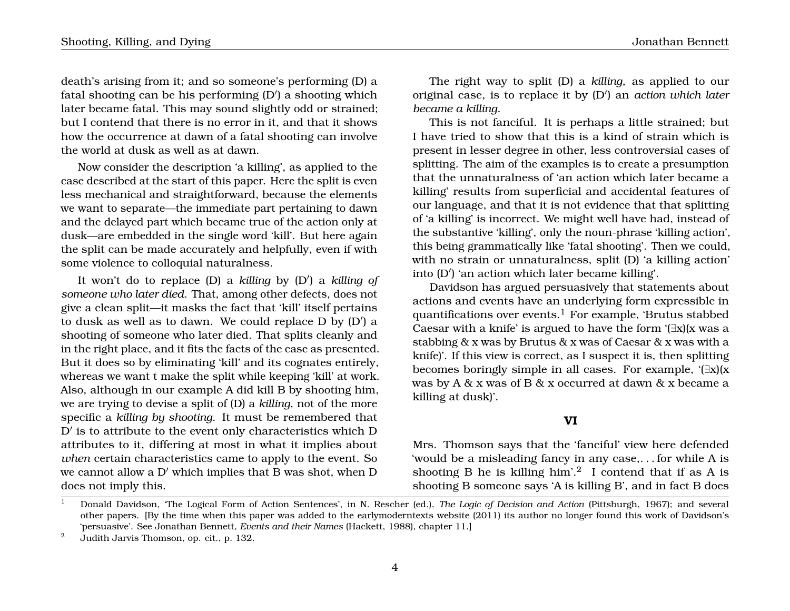death's arising from it; and so someone's performing (D) a fatal shooting can be his performing (D') a shooting which later became fatal. This may sound slightly odd or strained; but I contend that there is no error in it, and that it shows how the occurrence at dawn of a fatal shooting can involve the world at dusk as well as at dawn.

Now consider the description 'a killing', as applied to the case described at the start of this paper. Here the split is even less mechanical and straightforward, because the elements we want to separate—the immediate part pertaining to dawn and the delayed part which became true of the action only at dusk—are embedded in the single word 'kill'. But here again the split can be made accurately and helpfully, even if with some violence to colloquial naturalness.

It won't do to replace (D) a *killing* by (D') a *killing of someone who later died*. That, among other defects, does not give a clean split—it masks the fact that 'kill' itself pertains to dusk as well as to dawn. We could replace D by (D') a shooting of someone who later died. That splits cleanly and in the right place, and it fits the facts of the case as presented. But it does so by eliminating 'kill' and its cognates entirely, whereas we want t make the split while keeping 'kill' at work. Also, although in our example A did kill B by shooting him, we are trying to devise a split of (D) a *killing*, not of the more specific a *killing by shooting*. It must be remembered that D' is to attribute to the event only characteristics which D attributes to it, differing at most in what it implies about *when* certain characteristics came to apply to the event. So we cannot allow a  $D'$  which implies that B was shot, when  $D$ does not imply this.

The right way to split (D) a *killing*, as applied to our original case, is to replace it by (D') an *action which later became a killing*.

This is not fanciful. It is perhaps a little strained; but I have tried to show that this is a kind of strain which is present in lesser degree in other, less controversial cases of splitting. The aim of the examples is to create a presumption that the unnaturalness of 'an action which later became a killing' results from superficial and accidental features of our language, and that it is not evidence that that splitting of 'a killing' is incorrect. We might well have had, instead of the substantive 'killing', only the noun-phrase 'killing action', this being grammatically like 'fatal shooting'. Then we could, with no strain or unnaturalness, split (D) 'a killing action' into (D') 'an action which later became killing'.

Davidson has argued persuasively that statements about actions and events have an underlying form expressible in quantifications over events.<sup>1</sup> For example, 'Brutus stabbed Caesar with a knife' is argued to have the form ' $\exists x$ )(x was a stabbing & x was by Brutus & x was of Caesar & x was with a knife)'. If this view is correct, as I suspect it is, then splitting becomes boringly simple in all cases. For example,  $\exists x | (x)$ was by A & x was of B & x occurred at dawn & x became a killing at dusk)'.

## **VI**

Mrs. Thomson says that the 'fanciful' view here defended 'would be a misleading fancy in any case,. . . for while A is shooting B he is killing him'.<sup>2</sup> I contend that if as A is shooting B someone says 'A is killing B', and in fact B does

<sup>1</sup> Donald Davidson, 'The Logical Form of Action Sentences', in N. Rescher (ed.), *The Logic of Decision and Action* (Pittsburgh, 1967); and several other papers. [By the time when this paper was added to the earlymoderntexts website (2011) its author no longer found this work of Davidson's 'persuasive'. See Jonathan Bennett, *Events and their Names* (Hackett, 1988), chapter 11.]

<sup>&</sup>lt;sup>2</sup> Judith Jarvis Thomson, op. cit., p. 132.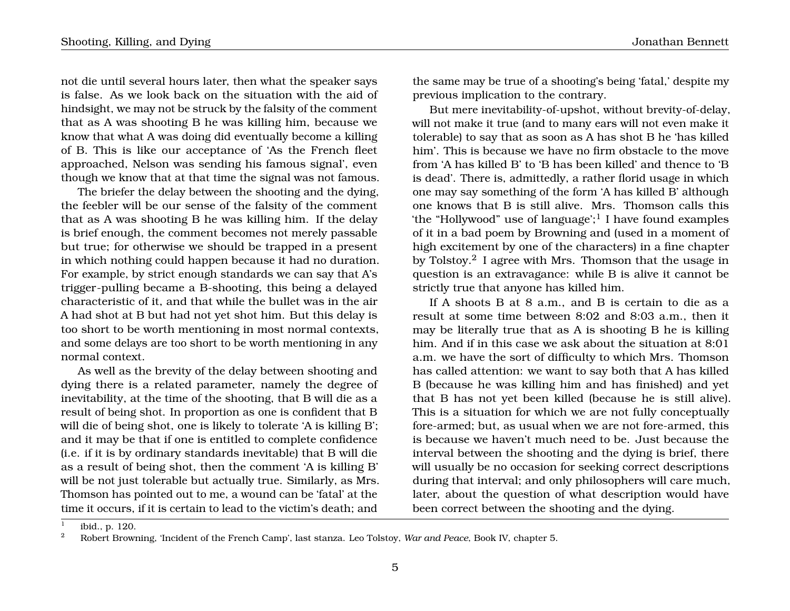not die until several hours later, then what the speaker says is false. As we look back on the situation with the aid of hindsight, we may not be struck by the falsity of the comment that as A was shooting B he was killing him, because we know that what A was doing did eventually become a killing of B. This is like our acceptance of 'As the French fleet approached, Nelson was sending his famous signal', even though we know that at that time the signal was not famous.

The briefer the delay between the shooting and the dying, the feebler will be our sense of the falsity of the comment that as A was shooting B he was killing him. If the delay is brief enough, the comment becomes not merely passable but true; for otherwise we should be trapped in a present in which nothing could happen because it had no duration. For example, by strict enough standards we can say that A's trigger-pulling became a B-shooting, this being a delayed characteristic of it, and that while the bullet was in the air A had shot at B but had not yet shot him. But this delay is too short to be worth mentioning in most normal contexts, and some delays are too short to be worth mentioning in any normal context.

As well as the brevity of the delay between shooting and dying there is a related parameter, namely the degree of inevitability, at the time of the shooting, that B will die as a result of being shot. In proportion as one is confident that B will die of being shot, one is likely to tolerate 'A is killing B'; and it may be that if one is entitled to complete confidence (i.e. if it is by ordinary standards inevitable) that B will die as a result of being shot, then the comment 'A is killing B' will be not just tolerable but actually true. Similarly, as Mrs. Thomson has pointed out to me, a wound can be 'fatal' at the time it occurs, if it is certain to lead to the victim's death; and

the same may be true of a shooting's being 'fatal,' despite my previous implication to the contrary.

But mere inevitability-of-upshot, without brevity-of-delay, will not make it true (and to many ears will not even make it tolerable) to say that as soon as A has shot B he 'has killed him'. This is because we have no firm obstacle to the move from 'A has killed B' to 'B has been killed' and thence to 'B is dead'. There is, admittedly, a rather florid usage in which one may say something of the form 'A has killed B' although one knows that B is still alive. Mrs. Thomson calls this 'the "Hollywood" use of language';<sup>1</sup> I have found examples of it in a bad poem by Browning and (used in a moment of high excitement by one of the characters) in a fine chapter by Tolstoy. $^2$  I agree with Mrs. Thomson that the usage in question is an extravagance: while B is alive it cannot be strictly true that anyone has killed him.

If A shoots B at 8 a.m., and B is certain to die as a result at some time between 8:02 and 8:03 a.m., then it may be literally true that as A is shooting B he is killing him. And if in this case we ask about the situation at 8:01 a.m. we have the sort of difficulty to which Mrs. Thomson has called attention: we want to say both that A has killed B (because he was killing him and has finished) and yet that B has not yet been killed (because he is still alive). This is a situation for which we are not fully conceptually fore-armed; but, as usual when we are not fore-armed, this is because we haven't much need to be. Just because the interval between the shooting and the dying is brief, there will usually be no occasion for seeking correct descriptions during that interval; and only philosophers will care much, later, about the question of what description would have been correct between the shooting and the dying.

1 ibid., p. 120.

<sup>2</sup> Robert Browning, 'Incident of the French Camp', last stanza. Leo Tolstoy, *War and Peace*, Book IV, chapter 5.